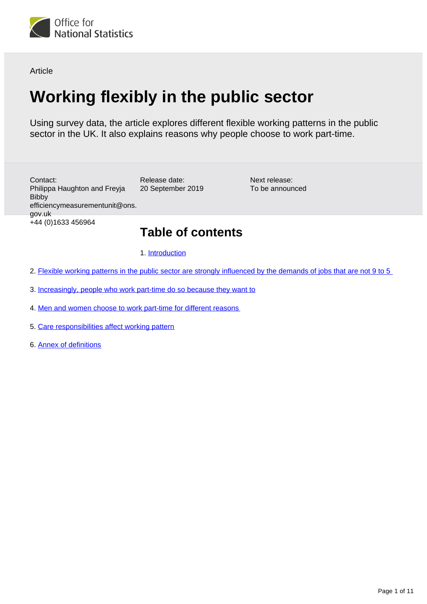

Article

# **Working flexibly in the public sector**

Using survey data, the article explores different flexible working patterns in the public sector in the UK. It also explains reasons why people choose to work part-time.

Release date: 20 September 2019 Contact: Philippa Haughton and Freyja Bibby efficiencymeasurementunit@ons. gov.uk +44 (0)1633 456964

Next release: To be announced

## **Table of contents**

1. [Introduction](#page-1-0)

- 2. [Flexible working patterns in the public sector are strongly influenced by the demands of jobs that are not 9 to 5](#page-3-0)
- 3. [Increasingly, people who work part-time do so because they want to](#page-4-0)
- 4. [Men and women choose to work part-time for different reasons](#page-7-0)
- 5. [Care responsibilities affect working pattern](#page-8-0)
- 6. [Annex of definitions](#page-8-1)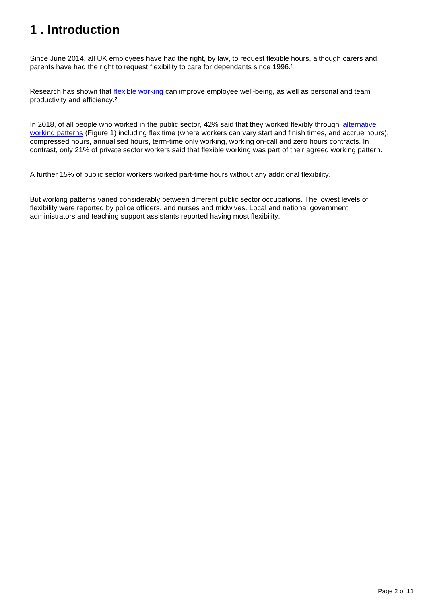## <span id="page-1-0"></span>**1 . Introduction**

Since June 2014, all UK employees have had the right, by law, to request flexible hours, although carers and parents have had the right to request flexibility to care for dependants since 1996.<sup>1</sup>

Research has shown that *[flexible working](https://www.ons.gov.uk/economy/governmentpublicsectorandtaxes/publicspending/articles/workingflexiblyinthepublicsector/2018#annex-of-definitions)* can improve employee well-being, as well as personal and team productivity and efficiency.²

In 2018, of all people who worked in the public sector, 42% said that they worked flexibly through alternative [working patterns](https://www.ons.gov.uk/economy/governmentpublicsectorandtaxes/publicspending/articles/workingflexiblyinthepublicsector/2018#annex-of-definitions) (Figure 1) including flexitime (where workers can vary start and finish times, and accrue hours), compressed hours, annualised hours, term-time only working, working on-call and zero hours contracts. In contrast, only 21% of private sector workers said that flexible working was part of their agreed working pattern.

A further 15% of public sector workers worked part-time hours without any additional flexibility.

But working patterns varied considerably between different public sector occupations. The lowest levels of flexibility were reported by police officers, and nurses and midwives. Local and national government administrators and teaching support assistants reported having most flexibility.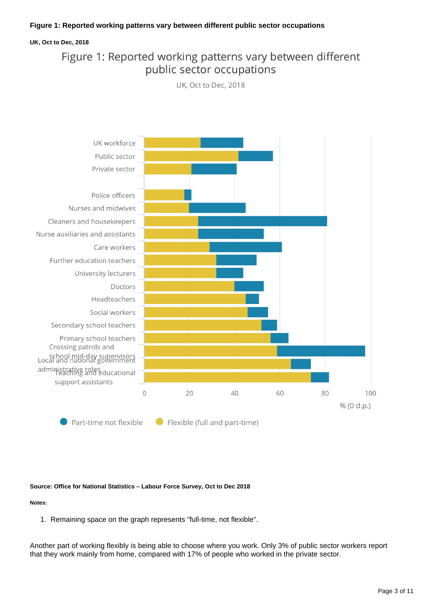### **Figure 1: Reported working patterns vary between different public sector occupations**

### **UK, Oct to Dec, 2018**

### Figure 1: Reported working patterns vary between different public sector occupations

UK, Oct to Dec, 2018



#### **Source: Office for National Statistics – Labour Force Survey, Oct to Dec 2018**

**Notes:**

1. Remaining space on the graph represents "full-time, not flexible".

Another part of working flexibly is being able to choose where you work. Only 3% of public sector workers report that they work mainly from home, compared with 17% of people who worked in the private sector.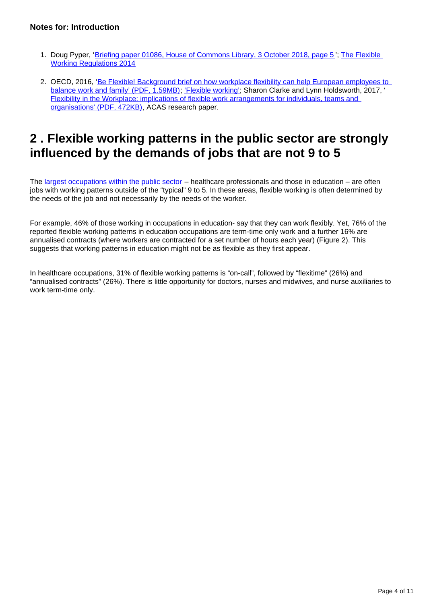### **Notes for: Introduction**

- 1. Doug Pyper, '[Briefing paper 01086, House of Commons Library, 3 October 2018, page 5](https://researchbriefings.parliament.uk/ResearchBriefing/Summary/SN01086)'; The Flexible [Working Regulations 2014](http://www.legislation.gov.uk/uksi/2014/1398/introduction/made)
- 2. OECD, 2016, '<u>Be Flexible! Background brief on how workplace flexibility can help European employees to</u> [balance work and family' \(PDF, 1.59MB\);](https://www.oecd.org/els/family/Be-Flexible-Backgrounder-Workplace-Flexibility.pdf) ['Flexible working'](http://www.legislation.gov.uk/uksi/2014/1398/introduction/made); Sharon Clarke and Lynn Holdsworth, 2017, ' [Flexibility in the Workplace: implications of flexible work arrangements for individuals, teams and](https://www.acas.org.uk/media/4901/Flexibility-in-the-Workplace-Implications-of-flexible-work-arrangements-for-individuals-teams-and-organisations/pdf/Flexibility-in-the-Workplace.pdf)  [organisations' \(PDF, 472KB\),](https://www.acas.org.uk/media/4901/Flexibility-in-the-Workplace-Implications-of-flexible-work-arrangements-for-individuals-teams-and-organisations/pdf/Flexibility-in-the-Workplace.pdf) ACAS research paper.

## <span id="page-3-0"></span>**2 . Flexible working patterns in the public sector are strongly influenced by the demands of jobs that are not 9 to 5**

The [largest occupations within the public sector](https://www.ons.gov.uk/economy/governmentpublicsectorandtaxes/publicspending/articles/whoworksinthepublicsector/2019-06-04) – healthcare professionals and those in education – are often jobs with working patterns outside of the "typical" 9 to 5. In these areas, flexible working is often determined by the needs of the job and not necessarily by the needs of the worker.

For example, 46% of those working in occupations in education- say that they can work flexibly. Yet, 76% of the reported flexible working patterns in education occupations are term-time only work and a further 16% are annualised contracts (where workers are contracted for a set number of hours each year) (Figure 2). This suggests that working patterns in education might not be as flexible as they first appear.

In healthcare occupations, 31% of flexible working patterns is "on-call", followed by "flexitime" (26%) and "annualised contracts" (26%). There is little opportunity for doctors, nurses and midwives, and nurse auxiliaries to work term-time only.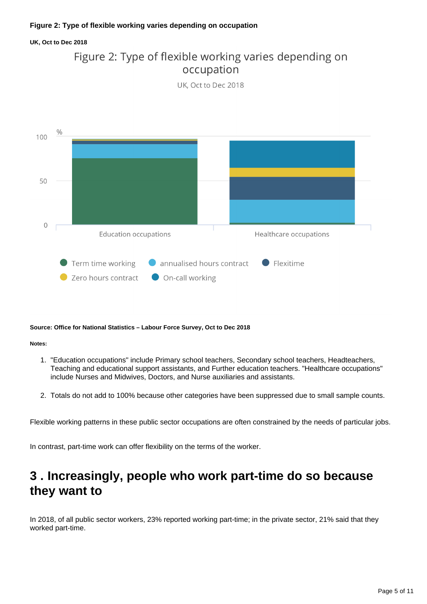### **UK, Oct to Dec 2018**

### Figure 2: Type of flexible working varies depending on occupation

UK. Oct to Dec 2018



### **Source: Office for National Statistics – Labour Force Survey, Oct to Dec 2018**

#### **Notes:**

- 1. "Education occupations" include Primary school teachers, Secondary school teachers, Headteachers, Teaching and educational support assistants, and Further education teachers. "Healthcare occupations" include Nurses and Midwives, Doctors, and Nurse auxiliaries and assistants.
- 2. Totals do not add to 100% because other categories have been suppressed due to small sample counts.

Flexible working patterns in these public sector occupations are often constrained by the needs of particular jobs.

In contrast, part-time work can offer flexibility on the terms of the worker.

## <span id="page-4-0"></span>**3 . Increasingly, people who work part-time do so because they want to**

In 2018, of all public sector workers, 23% reported working part-time; in the private sector, 21% said that they worked part-time.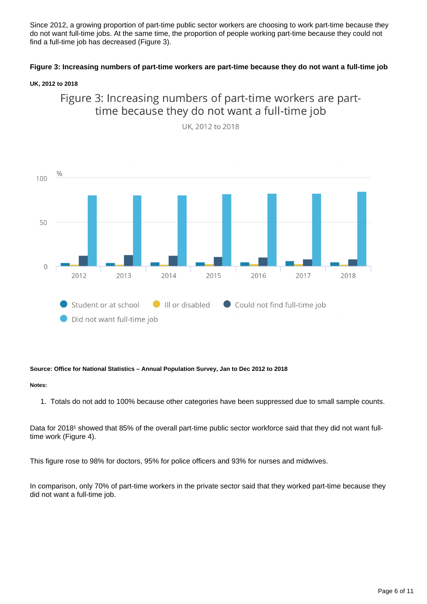Since 2012, a growing proportion of part-time public sector workers are choosing to work part-time because they do not want full-time jobs. At the same time, the proportion of people working part-time because they could not find a full-time job has decreased (Figure 3).

### **Figure 3: Increasing numbers of part-time workers are part-time because they do not want a full-time job**

### **UK, 2012 to 2018**





UK, 2012 to 2018

### **Source: Office for National Statistics – Annual Population Survey, Jan to Dec 2012 to 2018**

#### **Notes:**

1. Totals do not add to 100% because other categories have been suppressed due to small sample counts.

Data for 2018<sup>1</sup> showed that 85% of the overall part-time public sector workforce said that they did not want fulltime work (Figure 4).

This figure rose to 98% for doctors, 95% for police officers and 93% for nurses and midwives.

In comparison, only 70% of part-time workers in the private sector said that they worked part-time because they did not want a full-time job.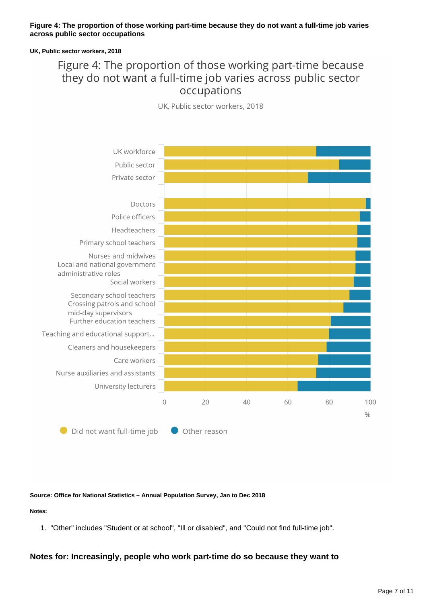### **Figure 4: The proportion of those working part-time because they do not want a full-time job varies across public sector occupations**

#### **UK, Public sector workers, 2018**

### Figure 4: The proportion of those working part-time because they do not want a full-time job varies across public sector occupations

UK, Public sector workers, 2018



#### **Source: Office for National Statistics – Annual Population Survey, Jan to Dec 2018**

### **Notes:**

1. "Other" includes "Student or at school", "Ill or disabled", and "Could not find full-time job".

### **Notes for: Increasingly, people who work part-time do so because they want to**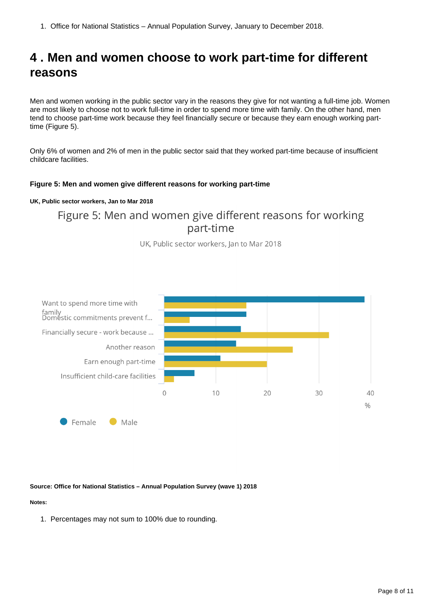1. Office for National Statistics – Annual Population Survey, January to December 2018.

## <span id="page-7-0"></span>**4 . Men and women choose to work part-time for different reasons**

Men and women working in the public sector vary in the reasons they give for not wanting a full-time job. Women are most likely to choose not to work full-time in order to spend more time with family. On the other hand, men tend to choose part-time work because they feel financially secure or because they earn enough working parttime (Figure 5).

Only 6% of women and 2% of men in the public sector said that they worked part-time because of insufficient childcare facilities.

### **Figure 5: Men and women give different reasons for working part-time**

### **UK, Public sector workers, Jan to Mar 2018**

### Figure 5: Men and women give different reasons for working part-time

UK, Public sector workers, Jan to Mar 2018



### **Source: Office for National Statistics – Annual Population Survey (wave 1) 2018**

### **Notes:**

1. Percentages may not sum to 100% due to rounding.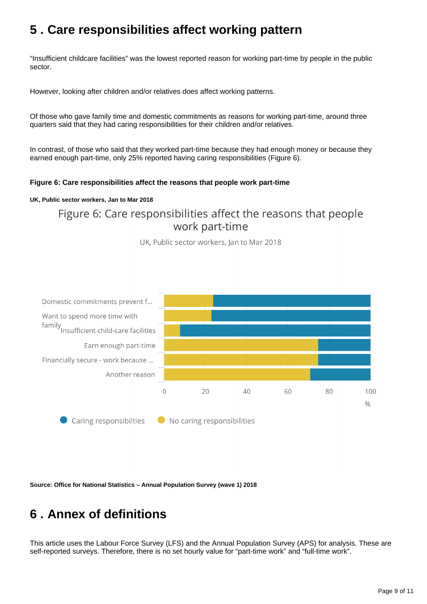## <span id="page-8-0"></span>**5 . Care responsibilities affect working pattern**

"Insufficient childcare facilities" was the lowest reported reason for working part-time by people in the public sector.

However, looking after children and/or relatives does affect working patterns.

Of those who gave family time and domestic commitments as reasons for working part-time, around three quarters said that they had caring responsibilities for their children and/or relatives.

In contrast, of those who said that they worked part-time because they had enough money or because they earned enough part-time, only 25% reported having caring responsibilities (Figure 6).

### **Figure 6: Care responsibilities affect the reasons that people work part-time**

### **UK, Public sector workers, Jan to Mar 2018**

### Figure 6: Care responsibilities affect the reasons that people work part-time

UK, Public sector workers, Jan to Mar 2018



**Source: Office for National Statistics – Annual Population Survey (wave 1) 2018**

## <span id="page-8-1"></span>**6 . Annex of definitions**

This article uses the Labour Force Survey (LFS) and the Annual Population Survey (APS) for analysis. These are self-reported surveys. Therefore, there is no set hourly value for "part-time work" and "full-time work".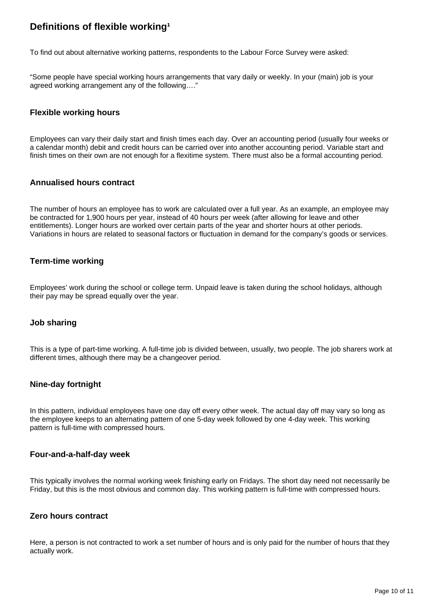### **Definitions of flexible working<sup>1</sup>**

To find out about alternative working patterns, respondents to the Labour Force Survey were asked:

"Some people have special working hours arrangements that vary daily or weekly. In your (main) job is your agreed working arrangement any of the following…."

### **Flexible working hours**

Employees can vary their daily start and finish times each day. Over an accounting period (usually four weeks or a calendar month) debit and credit hours can be carried over into another accounting period. Variable start and finish times on their own are not enough for a flexitime system. There must also be a formal accounting period.

### **Annualised hours contract**

The number of hours an employee has to work are calculated over a full year. As an example, an employee may be contracted for 1,900 hours per year, instead of 40 hours per week (after allowing for leave and other entitlements). Longer hours are worked over certain parts of the year and shorter hours at other periods. Variations in hours are related to seasonal factors or fluctuation in demand for the company's goods or services.

### **Term-time working**

Employees' work during the school or college term. Unpaid leave is taken during the school holidays, although their pay may be spread equally over the year.

### **Job sharing**

This is a type of part-time working. A full-time job is divided between, usually, two people. The job sharers work at different times, although there may be a changeover period.

### **Nine-day fortnight**

In this pattern, individual employees have one day off every other week. The actual day off may vary so long as the employee keeps to an alternating pattern of one 5-day week followed by one 4-day week. This working pattern is full-time with compressed hours.

### **Four-and-a-half-day week**

This typically involves the normal working week finishing early on Fridays. The short day need not necessarily be Friday, but this is the most obvious and common day. This working pattern is full-time with compressed hours.

### **Zero hours contract**

Here, a person is not contracted to work a set number of hours and is only paid for the number of hours that they actually work.